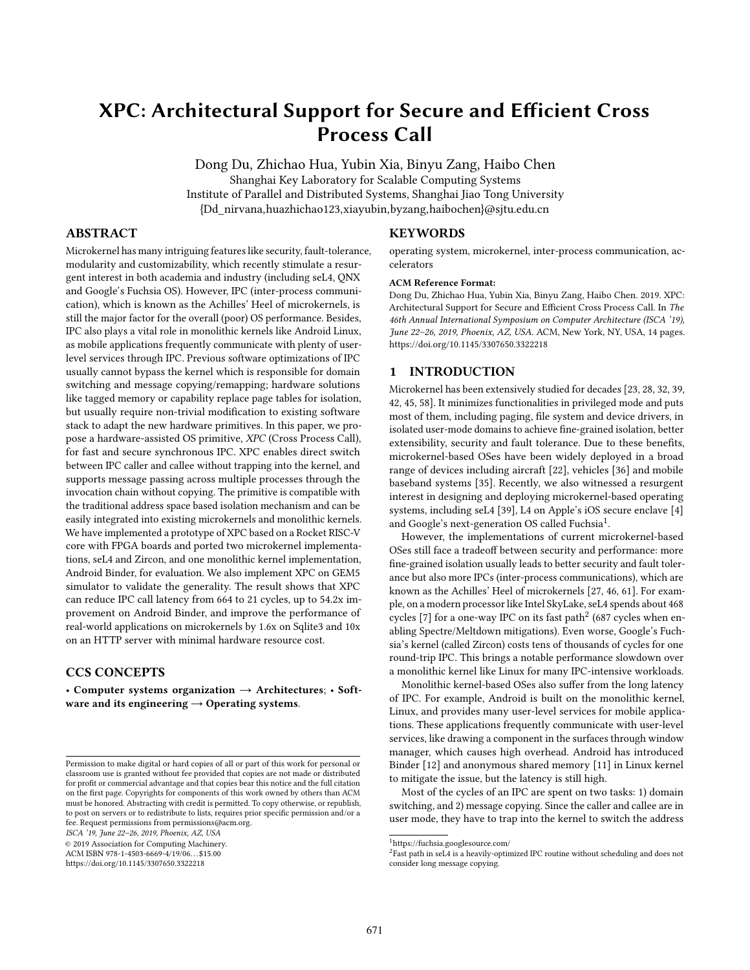# XPC: Architectural Support for Secure and Efficient Cross Process Call

Dong Du, Zhichao Hua, Yubin Xia, Binyu Zang, Haibo Chen Shanghai Key Laboratory for Scalable Computing Systems Institute of Parallel and Distributed Systems, Shanghai Jiao Tong University {Dd\_nirvana,huazhichao123,xiayubin,byzang,haibochen}@sjtu.edu.cn

# ABSTRACT

Microkernel has many intriguing features like security, fault-tolerance, modularity and customizability, which recently stimulate a resurgent interest in both academia and industry (including seL4, QNX and Google's Fuchsia OS). However, IPC (inter-process communication), which is known as the Achilles' Heel of microkernels, is still the major factor for the overall (poor) OS performance. Besides, IPC also plays a vital role in monolithic kernels like Android Linux, as mobile applications frequently communicate with plenty of userlevel services through IPC. Previous software optimizations of IPC usually cannot bypass the kernel which is responsible for domain switching and message copying/remapping; hardware solutions like tagged memory or capability replace page tables for isolation, but usually require non-trivial modification to existing software stack to adapt the new hardware primitives. In this paper, we propose a hardware-assisted OS primitive, XPC (Cross Process Call), for fast and secure synchronous IPC. XPC enables direct switch between IPC caller and callee without trapping into the kernel, and supports message passing across multiple processes through the invocation chain without copying. The primitive is compatible with the traditional address space based isolation mechanism and can be easily integrated into existing microkernels and monolithic kernels. We have implemented a prototype of XPC based on a Rocket RISC-V core with FPGA boards and ported two microkernel implementations, seL4 and Zircon, and one monolithic kernel implementation, Android Binder, for evaluation. We also implement XPC on GEM5 simulator to validate the generality. The result shows that XPC can reduce IPC call latency from 664 to 21 cycles, up to 54.2x improvement on Android Binder, and improve the performance of real-world applications on microkernels by 1.6x on Sqlite3 and 10x on an HTTP server with minimal hardware resource cost.

# CCS CONCEPTS

• Computer systems organization  $\rightarrow$  Architectures; • Software and its engineering  $\rightarrow$  Operating systems.

ISCA '19, June 22–26, 2019, Phoenix, AZ, USA

© 2019 Association for Computing Machinery.

ACM ISBN 978-1-4503-6669-4/19/06. . . \$15.00 <https://doi.org/10.1145/3307650.3322218>

#### KEYWORDS

operating system, microkernel, inter-process communication, accelerators

#### ACM Reference Format:

Dong Du, Zhichao Hua, Yubin Xia, Binyu Zang, Haibo Chen. 2019. XPC: Architectural Support for Secure and Efficient Cross Process Call. In The 46th Annual International Symposium on Computer Architecture (ISCA '19), June 22–26, 2019, Phoenix, AZ, USA. ACM, New York, NY, USA, [14](#page-13-0) pages. <https://doi.org/10.1145/3307650.3322218>

# 1 INTRODUCTION

Microkernel has been extensively studied for decades [\[23,](#page-13-1) [28,](#page-13-2) [32,](#page-13-3) [39,](#page-13-4) [42,](#page-13-5) [45,](#page-13-6) [58\]](#page-13-7). It minimizes functionalities in privileged mode and puts most of them, including paging, file system and device drivers, in isolated user-mode domains to achieve fine-grained isolation, better extensibility, security and fault tolerance. Due to these benefits, microkernel-based OSes have been widely deployed in a broad range of devices including aircraft [\[22\]](#page-13-8), vehicles [\[36\]](#page-13-9) and mobile baseband systems [\[35\]](#page-13-10). Recently, we also witnessed a resurgent interest in designing and deploying microkernel-based operating systems, including seL4 [\[39\]](#page-13-4), L4 on Apple's iOS secure enclave [\[4\]](#page-12-0) and Google's next-generation OS called Fuchsia<sup>[1](#page-0-0)</sup>.

However, the implementations of current microkernel-based OSes still face a tradeoff between security and performance: more fine-grained isolation usually leads to better security and fault tolerance but also more IPCs (inter-process communications), which are known as the Achilles' Heel of microkernels [\[27,](#page-13-11) [46,](#page-13-12) [61\]](#page-13-13). For example, on a modern processor like Intel SkyLake, seL4 spends about 468 cycles [\[7\]](#page-12-1) for a one-way IPC on its fast path $^2$  $^2$  (687 cycles when enabling Spectre/Meltdown mitigations). Even worse, Google's Fuchsia's kernel (called Zircon) costs tens of thousands of cycles for one round-trip IPC. This brings a notable performance slowdown over a monolithic kernel like Linux for many IPC-intensive workloads.

Monolithic kernel-based OSes also suffer from the long latency of IPC. For example, Android is built on the monolithic kernel, Linux, and provides many user-level services for mobile applications. These applications frequently communicate with user-level services, like drawing a component in the surfaces through window manager, which causes high overhead. Android has introduced Binder [\[12\]](#page-12-2) and anonymous shared memory [\[11\]](#page-12-3) in Linux kernel to mitigate the issue, but the latency is still high.

Most of the cycles of an IPC are spent on two tasks: 1) domain switching, and 2) message copying. Since the caller and callee are in user mode, they have to trap into the kernel to switch the address

Permission to make digital or hard copies of all or part of this work for personal or classroom use is granted without fee provided that copies are not made or distributed for profit or commercial advantage and that copies bear this notice and the full citation on the first page. Copyrights for components of this work owned by others than ACM must be honored. Abstracting with credit is permitted. To copy otherwise, or republish, to post on servers or to redistribute to lists, requires prior specific permission and/or a fee. Request permissions from permissions@acm.org.

<span id="page-0-0"></span> $^{\rm 1}$ https://fuchsia.googlesource.com/

<span id="page-0-1"></span> ${}^{2}$ Fast path in seL4 is a heavily-optimized IPC routine without scheduling and does not consider long message copying.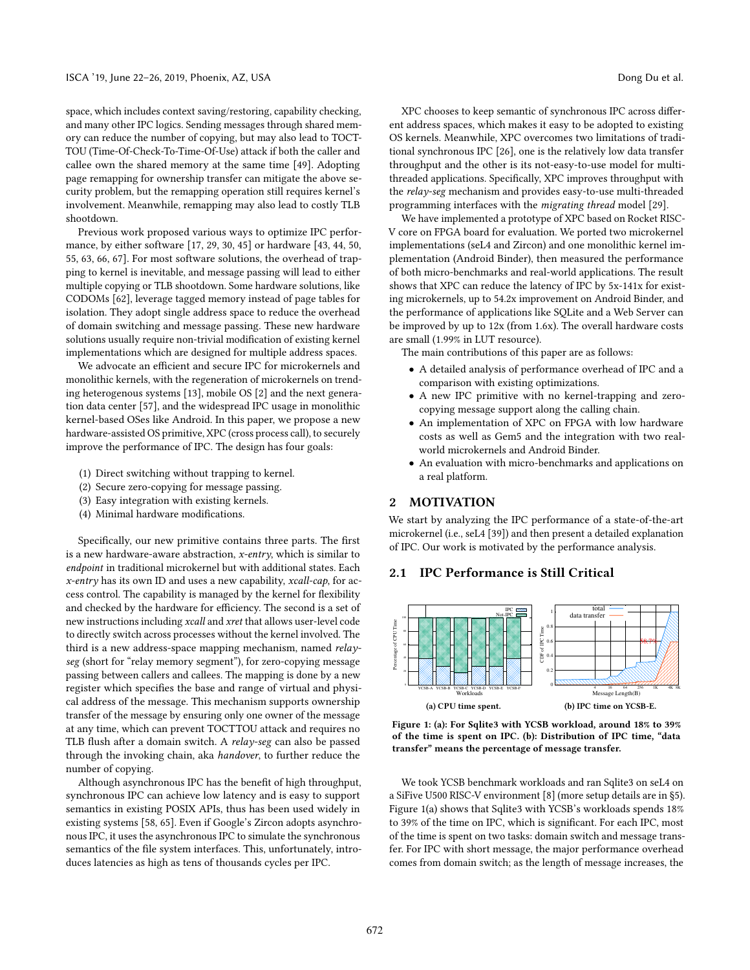space, which includes context saving/restoring, capability checking, and many other IPC logics. Sending messages through shared memory can reduce the number of copying, but may also lead to TOCT-TOU (Time-Of-Check-To-Time-Of-Use) attack if both the caller and callee own the shared memory at the same time [\[49\]](#page-13-14). Adopting page remapping for ownership transfer can mitigate the above security problem, but the remapping operation still requires kernel's involvement. Meanwhile, remapping may also lead to costly TLB shootdown.

Previous work proposed various ways to optimize IPC performance, by either software [\[17,](#page-12-4) [29,](#page-13-15) [30,](#page-13-16) [45\]](#page-13-6) or hardware [\[43,](#page-13-17) [44,](#page-13-18) [50,](#page-13-19) [55,](#page-13-20) [63,](#page-13-21) [66,](#page-13-22) [67\]](#page-13-23). For most software solutions, the overhead of trapping to kernel is inevitable, and message passing will lead to either multiple copying or TLB shootdown. Some hardware solutions, like CODOMs [\[62\]](#page-13-24), leverage tagged memory instead of page tables for isolation. They adopt single address space to reduce the overhead of domain switching and message passing. These new hardware solutions usually require non-trivial modification of existing kernel implementations which are designed for multiple address spaces.

We advocate an efficient and secure IPC for microkernels and monolithic kernels, with the regeneration of microkernels on trending heterogenous systems [\[13\]](#page-12-5), mobile OS [\[2\]](#page-12-6) and the next generation data center [\[57\]](#page-13-25), and the widespread IPC usage in monolithic kernel-based OSes like Android. In this paper, we propose a new hardware-assisted OS primitive, XPC (cross process call), to securely improve the performance of IPC. The design has four goals:

- (1) Direct switching without trapping to kernel.
- (2) Secure zero-copying for message passing.
- (3) Easy integration with existing kernels.
- (4) Minimal hardware modifications.

Specifically, our new primitive contains three parts. The first is a new hardware-aware abstraction, x-entry, which is similar to endpoint in traditional microkernel but with additional states. Each  $x$ -entry has its own ID and uses a new capability, xcall-cap, for access control. The capability is managed by the kernel for flexibility and checked by the hardware for efficiency. The second is a set of new instructions including xcall and xret that allows user-level code to directly switch across processes without the kernel involved. The third is a new address-space mapping mechanism, named relayseg (short for "relay memory segment"), for zero-copying message passing between callers and callees. The mapping is done by a new register which specifies the base and range of virtual and physical address of the message. This mechanism supports ownership transfer of the message by ensuring only one owner of the message at any time, which can prevent TOCTTOU attack and requires no TLB flush after a domain switch. A relay-seg can also be passed through the invoking chain, aka handover, to further reduce the number of copying.

Although asynchronous IPC has the benefit of high throughput, synchronous IPC can achieve low latency and is easy to support semantics in existing POSIX APIs, thus has been used widely in existing systems [\[58,](#page-13-7) [65\]](#page-13-26). Even if Google's Zircon adopts asynchronous IPC, it uses the asynchronous IPC to simulate the synchronous semantics of the file system interfaces. This, unfortunately, introduces latencies as high as tens of thousands cycles per IPC.

XPC chooses to keep semantic of synchronous IPC across different address spaces, which makes it easy to be adopted to existing OS kernels. Meanwhile, XPC overcomes two limitations of traditional synchronous IPC [\[26\]](#page-13-27), one is the relatively low data transfer throughput and the other is its not-easy-to-use model for multithreaded applications. Specifically, XPC improves throughput with the relay-seg mechanism and provides easy-to-use multi-threaded programming interfaces with the migrating thread model [\[29\]](#page-13-15).

We have implemented a prototype of XPC based on Rocket RISC-V core on FPGA board for evaluation. We ported two microkernel implementations (seL4 and Zircon) and one monolithic kernel implementation (Android Binder), then measured the performance of both micro-benchmarks and real-world applications. The result shows that XPC can reduce the latency of IPC by 5x-141x for existing microkernels, up to 54.2x improvement on Android Binder, and the performance of applications like SQLite and a Web Server can be improved by up to 12x (from 1.6x). The overall hardware costs are small (1.99% in LUT resource).

The main contributions of this paper are as follows:

- A detailed analysis of performance overhead of IPC and a comparison with existing optimizations.
- A new IPC primitive with no kernel-trapping and zerocopying message support along the calling chain.
- An implementation of XPC on FPGA with low hardware costs as well as Gem5 and the integration with two realworld microkernels and Android Binder.
- An evaluation with micro-benchmarks and applications on a real platform.

# 2 MOTIVATION

We start by analyzing the IPC performance of a state-of-the-art microkernel (i.e., seL4 [\[39\]](#page-13-4)) and then present a detailed explanation of IPC. Our work is motivated by the performance analysis.

# 2.1 IPC Performance is Still Critical

<span id="page-1-0"></span>

Figure 1: (a): For Sqlite3 with YCSB workload, around 18% to 39% of the time is spent on IPC. (b): Distribution of IPC time, "data transfer" means the percentage of message transfer.

We took YCSB benchmark workloads and ran Sqlite3 on seL4 on a SiFive U500 RISC-V environment [\[8\]](#page-12-7) (more setup details are in [§5\)](#page-7-0). Figure [1\(](#page-1-0)a) shows that Sqlite3 with YCSB's workloads spends 18% to 39% of the time on IPC, which is significant. For each IPC, most of the time is spent on two tasks: domain switch and message transfer. For IPC with short message, the major performance overhead comes from domain switch; as the length of message increases, the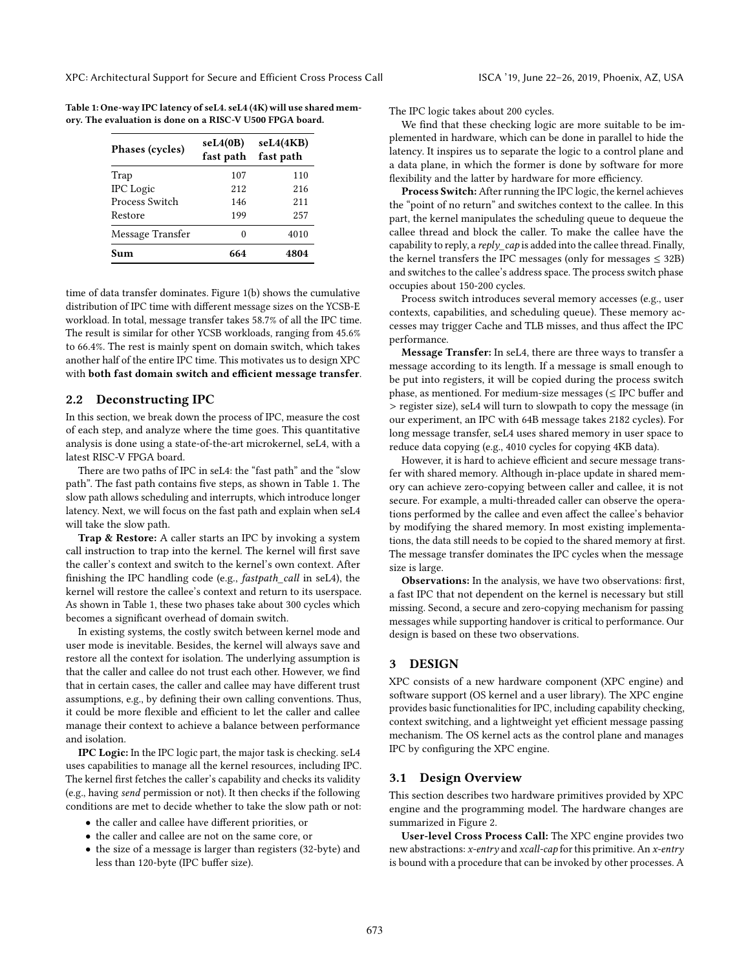<span id="page-2-0"></span>Table 1: One-way IPC latency of seL4. seL4 (4K) will use shared memory. The evaluation is done on a RISC-V U500 FPGA board.

| Phases (cycles)  | seL4(0B)<br>fast path | seL4(4KB)<br>fast path |  |  |
|------------------|-----------------------|------------------------|--|--|
| Trap             | 107                   | 110                    |  |  |
| <b>IPC</b> Logic | 212                   | 216                    |  |  |
| Process Switch   | 146                   | 211                    |  |  |
| Restore          | 199                   | 257                    |  |  |
| Message Transfer | 0                     | 4010                   |  |  |
| Sum              | 664                   | 4804                   |  |  |

time of data transfer dominates. Figure [1\(](#page-1-0)b) shows the cumulative distribution of IPC time with different message sizes on the YCSB-E workload. In total, message transfer takes 58.7% of all the IPC time. The result is similar for other YCSB workloads, ranging from 45.6% to 66.4%. The rest is mainly spent on domain switch, which takes another half of the entire IPC time. This motivates us to design XPC with both fast domain switch and efficient message transfer.

#### 2.2 Deconstructing IPC

In this section, we break down the process of IPC, measure the cost of each step, and analyze where the time goes. This quantitative analysis is done using a state-of-the-art microkernel, seL4, with a latest RISC-V FPGA board.

There are two paths of IPC in seL4: the "fast path" and the "slow path". The fast path contains five steps, as shown in Table [1.](#page-2-0) The slow path allows scheduling and interrupts, which introduce longer latency. Next, we will focus on the fast path and explain when seL4 will take the slow path.

Trap & Restore: A caller starts an IPC by invoking a system call instruction to trap into the kernel. The kernel will first save the caller's context and switch to the kernel's own context. After finishing the IPC handling code (e.g., fastpath\_call in seL4), the kernel will restore the callee's context and return to its userspace. As shown in Table [1,](#page-2-0) these two phases take about 300 cycles which becomes a significant overhead of domain switch.

In existing systems, the costly switch between kernel mode and user mode is inevitable. Besides, the kernel will always save and restore all the context for isolation. The underlying assumption is that the caller and callee do not trust each other. However, we find that in certain cases, the caller and callee may have different trust assumptions, e.g., by defining their own calling conventions. Thus, it could be more flexible and efficient to let the caller and callee manage their context to achieve a balance between performance and isolation.

IPC Logic: In the IPC logic part, the major task is checking. seL4 uses capabilities to manage all the kernel resources, including IPC. The kernel first fetches the caller's capability and checks its validity (e.g., having send permission or not). It then checks if the following conditions are met to decide whether to take the slow path or not:

- the caller and callee have different priorities, or
- the caller and callee are not on the same core, or
- the size of a message is larger than registers (32-byte) and less than 120-byte (IPC buffer size).

The IPC logic takes about 200 cycles.

We find that these checking logic are more suitable to be implemented in hardware, which can be done in parallel to hide the latency. It inspires us to separate the logic to a control plane and a data plane, in which the former is done by software for more flexibility and the latter by hardware for more efficiency.

Process Switch: After running the IPC logic, the kernel achieves the "point of no return" and switches context to the callee. In this part, the kernel manipulates the scheduling queue to dequeue the callee thread and block the caller. To make the callee have the capability to reply, a reply  $cap$  is added into the callee thread. Finally, the kernel transfers the IPC messages (only for messages  $\leq$  32B) and switches to the callee's address space. The process switch phase occupies about 150-200 cycles.

Process switch introduces several memory accesses (e.g., user contexts, capabilities, and scheduling queue). These memory accesses may trigger Cache and TLB misses, and thus affect the IPC performance.

Message Transfer: In seL4, there are three ways to transfer a message according to its length. If a message is small enough to be put into registers, it will be copied during the process switch phase, as mentioned. For medium-size messages ( $\leq$  IPC buffer and > register size), seL4 will turn to slowpath to copy the message (in our experiment, an IPC with 64B message takes 2182 cycles). For long message transfer, seL4 uses shared memory in user space to reduce data copying (e.g., 4010 cycles for copying 4KB data).

However, it is hard to achieve efficient and secure message transfer with shared memory. Although in-place update in shared memory can achieve zero-copying between caller and callee, it is not secure. For example, a multi-threaded caller can observe the operations performed by the callee and even affect the callee's behavior by modifying the shared memory. In most existing implementations, the data still needs to be copied to the shared memory at first. The message transfer dominates the IPC cycles when the message size is large.

Observations: In the analysis, we have two observations: first, a fast IPC that not dependent on the kernel is necessary but still missing. Second, a secure and zero-copying mechanism for passing messages while supporting handover is critical to performance. Our design is based on these two observations.

# 3 DESIGN

XPC consists of a new hardware component (XPC engine) and software support (OS kernel and a user library). The XPC engine provides basic functionalities for IPC, including capability checking, context switching, and a lightweight yet efficient message passing mechanism. The OS kernel acts as the control plane and manages IPC by configuring the XPC engine.

#### 3.1 Design Overview

This section describes two hardware primitives provided by XPC engine and the programming model. The hardware changes are summarized in Figure [2.](#page-3-0)

User-level Cross Process Call: The XPC engine provides two new abstractions: x-entry and xcall-cap for this primitive. An x-entry is bound with a procedure that can be invoked by other processes. A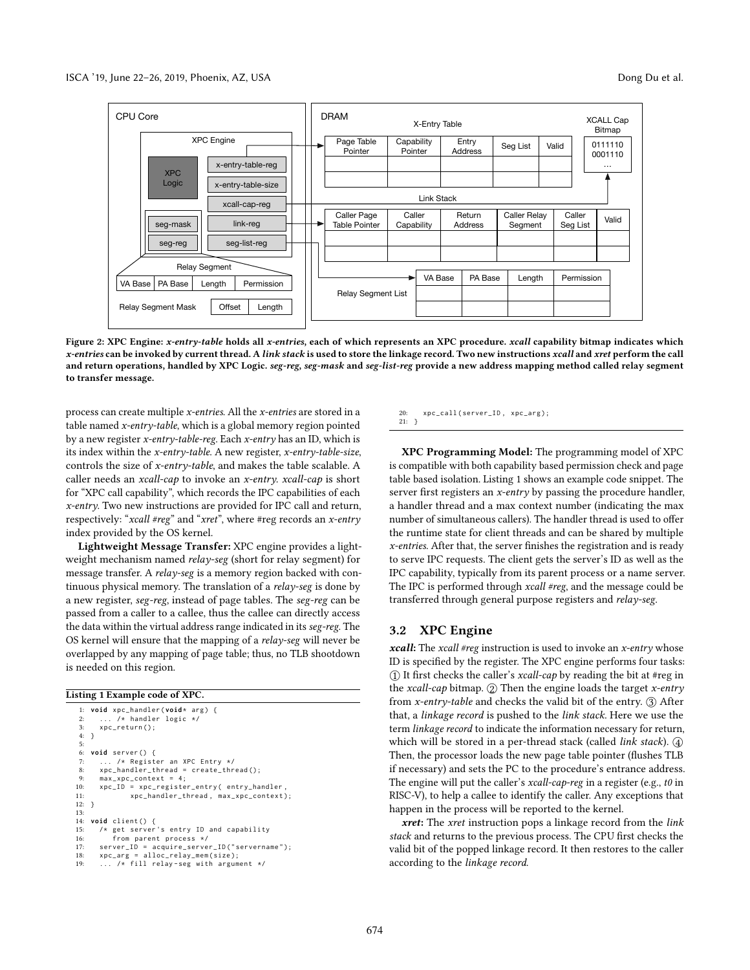<span id="page-3-0"></span>

Figure 2: XPC Engine: x-entry-table holds all x-entries, each of which represents an XPC procedure. xcall capability bitmap indicates which x-entries can be invoked by current thread. A link stack is used to store the linkage record. Two new instructions xcall and xret perform the call and return operations, handled by XPC Logic. seg-reg, seg-mask and seg-list-reg provide a new address mapping method called relay segment to transfer message.

process can create multiple x-entries. All the x-entries are stored in a table named x-entry-table, which is a global memory region pointed by a new register x-entry-table-reg. Each x-entry has an ID, which is its index within the  $x$ -entry-table. A new register,  $x$ -entry-table-size, controls the size of x-entry-table, and makes the table scalable. A caller needs an xcall-cap to invoke an x-entry. xcall-cap is short for "XPC call capability", which records the IPC capabilities of each x-entry. Two new instructions are provided for IPC call and return, respectively: " $xcall #reg"$  and " $xret"$ , where #reg records an  $x$ -entry index provided by the OS kernel.

Lightweight Message Transfer: XPC engine provides a lightweight mechanism named relay-seg (short for relay segment) for message transfer. A relay-seg is a memory region backed with continuous physical memory. The translation of a relay-seg is done by a new register, seg-reg, instead of page tables. The seg-reg can be passed from a caller to a callee, thus the callee can directly access the data within the virtual address range indicated in its seg-reg. The OS kernel will ensure that the mapping of a relay-seg will never be overlapped by any mapping of page table; thus, no TLB shootdown is needed on this region.

#### <span id="page-3-1"></span>Listing 1 Example code of XPC.

```
1: void xpc_handler (void* arg) {
 2: ... /* handler logic */<br>3: xpc_return();3: xpc_return();4: }
 5:
     6: void server () {
 7: ... /* Register an XPC Entry */
 8: xpc \_ \  \  \text{handler \_} \ = \ \text{create \_} \ (x);<br>9: \text{max} \ x \text{nc} \ \text{context} \ = \ 4;
9: max\_xpc\_context = 4;<br>10: xpc\_ID = xpc registe
10: xpc_ID = xpc_register_entry( entry_handler,<br>11: xpc_handler_thread, max_xpc_context)
                    xpc\_handler\_thread, max_xpc_context);
12: }
13:
14: void client () {
15: /* get server 's entry ID and capability
16: from parent process */
17: server_ID = acquire_server_ID ( " servername " );
18: xpc_arg = alloc_relay_mem ( size );
19: ... /* fill relay - seg with argument */
```
20: xpc\_call ( server\_ID , xpc\_arg ); 21: }

XPC Programming Model: The programming model of XPC is compatible with both capability based permission check and page table based isolation. Listing [1](#page-3-1) shows an example code snippet. The server first registers an *x-entry* by passing the procedure handler, a handler thread and a max context number (indicating the max number of simultaneous callers). The handler thread is used to offer the runtime state for client threads and can be shared by multiple  $x$ -entries. After that, the server finishes the registration and is ready to serve IPC requests. The client gets the server's ID as well as the IPC capability, typically from its parent process or a name server. The IPC is performed through xcall #reg, and the message could be transferred through general purpose registers and relay-seg.

### 3.2 XPC Engine

*xcall*: The *xcall* #reg instruction is used to invoke an *x*-entry whose ID is specified by the register. The XPC engine performs four tasks:  $(1)$  It first checks the caller's *xcall-cap* by reading the bit at #reg in the xcall-cap bitmap.  $Q$  Then the engine loads the target x-entry from x-entry-table and checks the valid bit of the entry.  $(3)$  After that, a linkage record is pushed to the link stack. Here we use the term linkage record to indicate the information necessary for return, which will be stored in a per-thread stack (called  $link$  stack).  $\textcircled{4}$ Then, the processor loads the new page table pointer (flushes TLB if necessary) and sets the PC to the procedure's entrance address. The engine will put the caller's xcall-cap-reg in a register (e.g., to in RISC-V), to help a callee to identify the caller. Any exceptions that happen in the process will be reported to the kernel.

xret: The xret instruction pops a linkage record from the link stack and returns to the previous process. The CPU first checks the valid bit of the popped linkage record. It then restores to the caller according to the linkage record.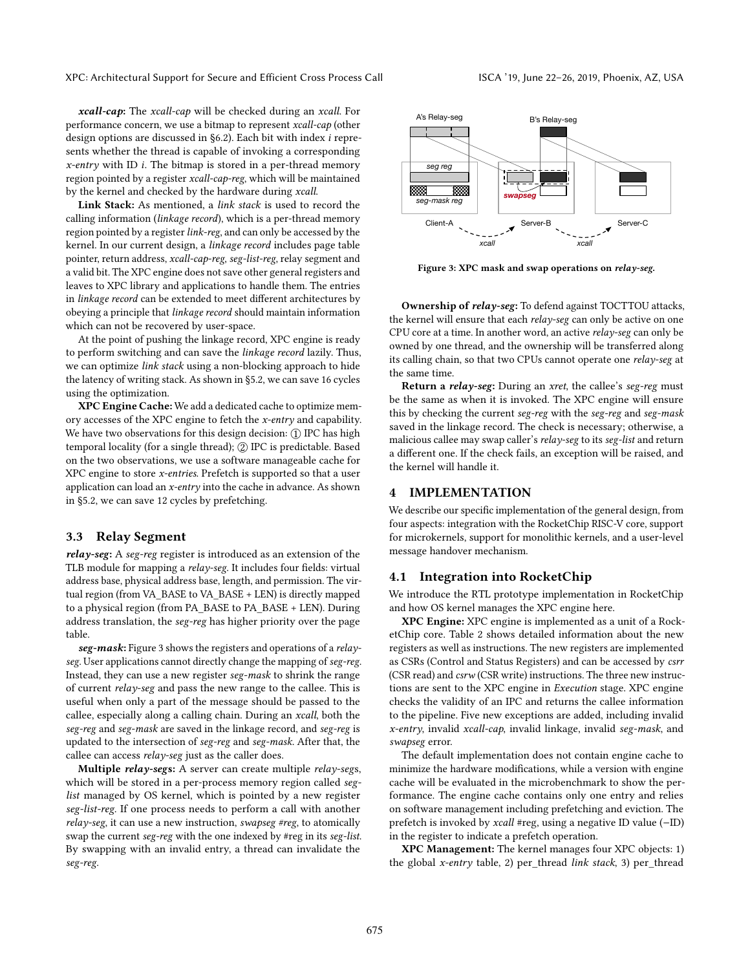XPC: Architectural Support for Secure and Efficient Cross Process Call ISCA '19, June 22–26, 2019, Phoenix, AZ, USA

xcall-cap: The xcall-cap will be checked during an xcall. For performance concern, we use a bitmap to represent xcall-cap (other design options are discussed in [§6.2\)](#page-10-0). Each bit with index i represents whether the thread is capable of invoking a corresponding  $x$ -entry with ID *i*. The bitmap is stored in a per-thread memory region pointed by a register xcall-cap-reg, which will be maintained by the kernel and checked by the hardware during xcall.

Link Stack: As mentioned, a link stack is used to record the calling information (linkage record), which is a per-thread memory region pointed by a register link-reg, and can only be accessed by the kernel. In our current design, a linkage record includes page table pointer, return address, xcall-cap-reg, seg-list-reg, relay segment and a valid bit. The XPC engine does not save other general registers and leaves to XPC library and applications to handle them. The entries in linkage record can be extended to meet different architectures by obeying a principle that linkage record should maintain information which can not be recovered by user-space.

At the point of pushing the linkage record, XPC engine is ready to perform switching and can save the linkage record lazily. Thus, we can optimize link stack using a non-blocking approach to hide the latency of writing stack. As shown in [§5.2,](#page-7-1) we can save 16 cycles using the optimization.

XPC Engine Cache: We add a dedicated cache to optimize memory accesses of the XPC engine to fetch the x-entry and capability. We have two observations for this design decision: ① IPC has high temporal locality (for a single thread); ② IPC is predictable. Based on the two observations, we use a software manageable cache for XPC engine to store  $x$ -entries. Prefetch is supported so that a user application can load an x-entry into the cache in advance. As shown in [§5.2,](#page-7-1) we can save 12 cycles by prefetching.

#### 3.3 Relay Segment

relay-seg: A seg-reg register is introduced as an extension of the TLB module for mapping a *relay-seg*. It includes four fields: virtual address base, physical address base, length, and permission. The virtual region (from VA\_BASE to VA\_BASE + LEN) is directly mapped to a physical region (from PA\_BASE to PA\_BASE + LEN). During address translation, the seg-reg has higher priority over the page table.

seg-mask: Figure [3](#page-4-0) shows the registers and operations of a relayseg. User applications cannot directly change the mapping of seg-reg. Instead, they can use a new register seg-mask to shrink the range of current relay-seg and pass the new range to the callee. This is useful when only a part of the message should be passed to the callee, especially along a calling chain. During an xcall, both the seg-reg and seg-mask are saved in the linkage record, and seg-reg is updated to the intersection of seg-reg and seg-mask. After that, the callee can access relay-seg just as the caller does.

Multiple relay-segs: A server can create multiple relay-segs, which will be stored in a per-process memory region called seglist managed by OS kernel, which is pointed by a new register seg-list-reg. If one process needs to perform a call with another relay-seg, it can use a new instruction, swapseg #reg, to atomically swap the current seg-reg with the one indexed by #reg in its seg-list. By swapping with an invalid entry, a thread can invalidate the seg-reg.

<span id="page-4-0"></span>

Figure 3: XPC mask and swap operations on relay-seg.

Ownership of relay-seg: To defend against TOCTTOU attacks, the kernel will ensure that each relay-seg can only be active on one CPU core at a time. In another word, an active  $relay\text{-}seg$  can only be owned by one thread, and the ownership will be transferred along its calling chain, so that two CPUs cannot operate one relay-seg at the same time.

Return a relay-seg: During an xret, the callee's seg-reg must be the same as when it is invoked. The XPC engine will ensure this by checking the current seg-reg with the seg-reg and seg-mask saved in the linkage record. The check is necessary; otherwise, a malicious callee may swap caller's relay-seg to its seg-list and return a different one. If the check fails, an exception will be raised, and the kernel will handle it.

# 4 IMPLEMENTATION

We describe our specific implementation of the general design, from four aspects: integration with the RocketChip RISC-V core, support for microkernels, support for monolithic kernels, and a user-level message handover mechanism.

#### 4.1 Integration into RocketChip

We introduce the RTL prototype implementation in RocketChip and how OS kernel manages the XPC engine here.

XPC Engine: XPC engine is implemented as a unit of a RocketChip core. Table [2](#page-5-0) shows detailed information about the new registers as well as instructions. The new registers are implemented as CSRs (Control and Status Registers) and can be accessed by csrr (CSR read) and csrw (CSR write) instructions. The three new instructions are sent to the XPC engine in Execution stage. XPC engine checks the validity of an IPC and returns the callee information to the pipeline. Five new exceptions are added, including invalid x-entry, invalid xcall-cap, invalid linkage, invalid seg-mask, and swapseg error.

The default implementation does not contain engine cache to minimize the hardware modifications, while a version with engine cache will be evaluated in the microbenchmark to show the performance. The engine cache contains only one entry and relies on software management including prefetching and eviction. The prefetch is invoked by xcall #reg, using a negative ID value (−ID) in the register to indicate a prefetch operation.

XPC Management: The kernel manages four XPC objects: 1) the global x-entry table, 2) per\_thread link stack, 3) per\_thread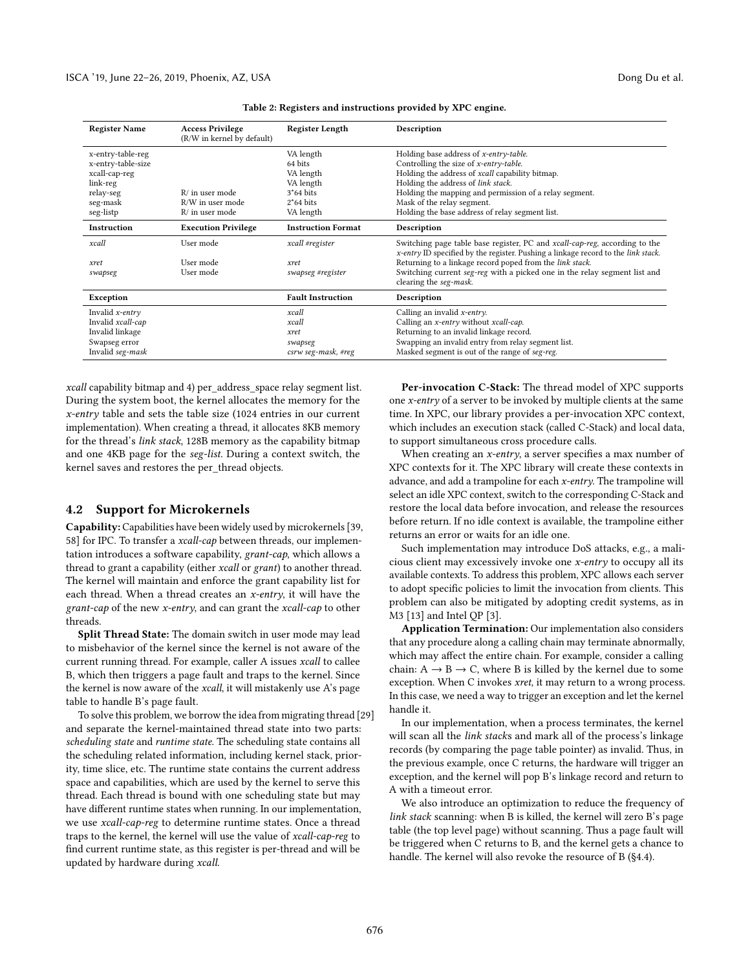<span id="page-5-0"></span>

| <b>Register Name</b> | <b>Access Privilege</b><br>(R/W in kernel by default) | <b>Register Length</b>    | Description                                                                                                                                                     |
|----------------------|-------------------------------------------------------|---------------------------|-----------------------------------------------------------------------------------------------------------------------------------------------------------------|
| x-entry-table-reg    |                                                       | VA length                 | Holding base address of x-entry-table.                                                                                                                          |
| x-entry-table-size   |                                                       | 64 bits                   | Controlling the size of x-entry-table.                                                                                                                          |
| xcall-cap-reg        |                                                       | VA length                 | Holding the address of xcall capability bitmap.                                                                                                                 |
| link-reg             |                                                       | VA length                 | Holding the address of link stack.                                                                                                                              |
| relay-seg            | $R/$ in user mode                                     | $3*64$ bits               | Holding the mapping and permission of a relay segment.                                                                                                          |
| seg-mask             | R/W in user mode                                      | $2*64$ bits               | Mask of the relay segment.                                                                                                                                      |
| seg-listp            | $R/$ in user mode                                     | VA length                 | Holding the base address of relay segment list.                                                                                                                 |
| Instruction          | <b>Execution Privilege</b>                            | <b>Instruction Format</b> | Description                                                                                                                                                     |
| xcall                | User mode                                             | xcall #register           | Switching page table base register, PC and xcall-cap-reg, according to the<br>x-entry ID specified by the register. Pushing a linkage record to the link stack. |
| xret                 | User mode                                             | xret                      | Returning to a linkage record poped from the link stack.                                                                                                        |
| swapseg              | User mode                                             | swapseg #register         | Switching current seg-reg with a picked one in the relay segment list and<br>clearing the seg-mask.                                                             |
| Exception            |                                                       | <b>Fault Instruction</b>  | Description                                                                                                                                                     |
| Invalid $x$ -entry   |                                                       | xcall                     | Calling an invalid $x$ -entry.                                                                                                                                  |
| Invalid xcall-cap    |                                                       | xcall                     | Calling an x-entry without xcall-cap.                                                                                                                           |
| Invalid linkage      |                                                       | xret                      | Returning to an invalid linkage record.                                                                                                                         |
| Swapseg error        |                                                       | swapseg                   | Swapping an invalid entry from relay segment list.                                                                                                              |
| Invalid seg-mask     |                                                       | csrw seg-mask, #reg       | Masked segment is out of the range of seg-reg.                                                                                                                  |

Table 2: Registers and instructions provided by XPC engine.

xcall capability bitmap and 4) per\_address\_space relay segment list. During the system boot, the kernel allocates the memory for the x-entry table and sets the table size (1024 entries in our current implementation). When creating a thread, it allocates 8KB memory for the thread's link stack, 128B memory as the capability bitmap and one 4KB page for the seg-list. During a context switch, the kernel saves and restores the per\_thread objects.

#### <span id="page-5-1"></span>4.2 Support for Microkernels

Capability: Capabilities have been widely used by microkernels [\[39,](#page-13-4) [58\]](#page-13-7) for IPC. To transfer a *xcall-cap* between threads, our implementation introduces a software capability, grant-cap, which allows a thread to grant a capability (either xcall or grant) to another thread. The kernel will maintain and enforce the grant capability list for each thread. When a thread creates an  $x$ -entry, it will have the grant-cap of the new x-entry, and can grant the xcall-cap to other threads.

Split Thread State: The domain switch in user mode may lead to misbehavior of the kernel since the kernel is not aware of the current running thread. For example, caller A issues xcall to callee B, which then triggers a page fault and traps to the kernel. Since the kernel is now aware of the xcall, it will mistakenly use A's page table to handle B's page fault.

To solve this problem, we borrow the idea from migrating thread [\[29\]](#page-13-15) and separate the kernel-maintained thread state into two parts: scheduling state and runtime state. The scheduling state contains all the scheduling related information, including kernel stack, priority, time slice, etc. The runtime state contains the current address space and capabilities, which are used by the kernel to serve this thread. Each thread is bound with one scheduling state but may have different runtime states when running. In our implementation, we use xcall-cap-reg to determine runtime states. Once a thread traps to the kernel, the kernel will use the value of xcall-cap-reg to find current runtime state, as this register is per-thread and will be updated by hardware during xcall.

Per-invocation C-Stack: The thread model of XPC supports one x-entry of a server to be invoked by multiple clients at the same time. In XPC, our library provides a per-invocation XPC context, which includes an execution stack (called C-Stack) and local data, to support simultaneous cross procedure calls.

When creating an  $x$ -entry, a server specifies a max number of XPC contexts for it. The XPC library will create these contexts in advance, and add a trampoline for each  $x$ -entry. The trampoline will select an idle XPC context, switch to the corresponding C-Stack and restore the local data before invocation, and release the resources before return. If no idle context is available, the trampoline either returns an error or waits for an idle one.

Such implementation may introduce DoS attacks, e.g., a malicious client may excessively invoke one x-entry to occupy all its available contexts. To address this problem, XPC allows each server to adopt specific policies to limit the invocation from clients. This problem can also be mitigated by adopting credit systems, as in M3 [\[13\]](#page-12-5) and Intel QP [\[3\]](#page-12-8).

Application Termination: Our implementation also considers that any procedure along a calling chain may terminate abnormally, which may affect the entire chain. For example, consider a calling chain:  $A \rightarrow B \rightarrow C$ , where B is killed by the kernel due to some exception. When C invokes xret, it may return to a wrong process. In this case, we need a way to trigger an exception and let the kernel handle it.

In our implementation, when a process terminates, the kernel will scan all the *link stacks* and mark all of the process's linkage records (by comparing the page table pointer) as invalid. Thus, in the previous example, once C returns, the hardware will trigger an exception, and the kernel will pop B's linkage record and return to A with a timeout error.

We also introduce an optimization to reduce the frequency of link stack scanning: when B is killed, the kernel will zero B's page table (the top level page) without scanning. Thus a page fault will be triggered when C returns to B, and the kernel gets a chance to handle. The kernel will also revoke the resource of B ([§4.4\)](#page-6-0).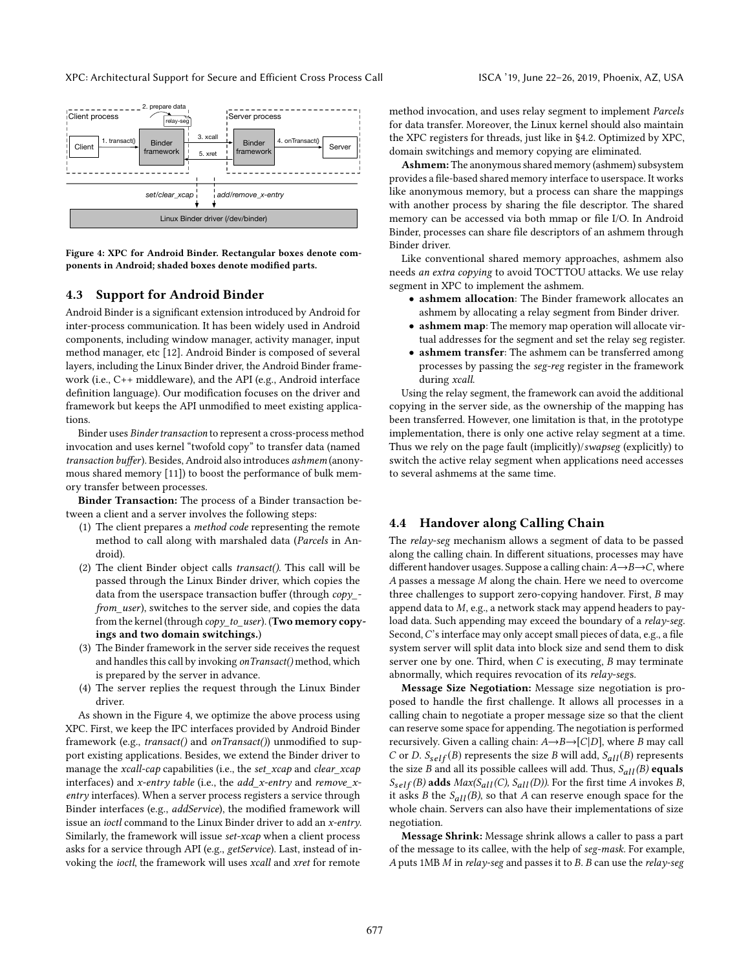<span id="page-6-1"></span>

Figure 4: XPC for Android Binder. Rectangular boxes denote components in Android; shaded boxes denote modified parts.

# 4.3 Support for Android Binder

Android Binder is a significant extension introduced by Android for inter-process communication. It has been widely used in Android components, including window manager, activity manager, input method manager, etc [\[12\]](#page-12-2). Android Binder is composed of several layers, including the Linux Binder driver, the Android Binder framework (i.e., C++ middleware), and the API (e.g., Android interface definition language). Our modification focuses on the driver and framework but keeps the API unmodified to meet existing applications.

Binder uses Binder transaction to represent a cross-process method invocation and uses kernel "twofold copy" to transfer data (named transaction buffer). Besides, Android also introduces ashmem (anonymous shared memory [\[11\]](#page-12-3)) to boost the performance of bulk memory transfer between processes.

Binder Transaction: The process of a Binder transaction between a client and a server involves the following steps:

- (1) The client prepares a method code representing the remote method to call along with marshaled data (Parcels in Android).
- (2) The client Binder object calls transact(). This call will be passed through the Linux Binder driver, which copies the data from the userspace transaction buffer (through  $copy$ from\_user), switches to the server side, and copies the data from the kernel (through copy\_to\_user). (Two memory copyings and two domain switchings.)
- (3) The Binder framework in the server side receives the request and handles this call by invoking onTransact() method, which is prepared by the server in advance.
- (4) The server replies the request through the Linux Binder driver.

As shown in the Figure [4,](#page-6-1) we optimize the above process using XPC. First, we keep the IPC interfaces provided by Android Binder framework (e.g., transact() and onTransact()) unmodified to support existing applications. Besides, we extend the Binder driver to manage the xcall-cap capabilities (i.e., the set\_xcap and clear\_xcap interfaces) and x-entry table (i.e., the add\_x-entry and remove\_xentry interfaces). When a server process registers a service through Binder interfaces (e.g., addService), the modified framework will issue an ioctl command to the Linux Binder driver to add an x-entry. Similarly, the framework will issue set-xcap when a client process asks for a service through API (e.g., getService). Last, instead of invoking the ioctl, the framework will uses xcall and xret for remote

method invocation, and uses relay segment to implement Parcels for data transfer. Moreover, the Linux kernel should also maintain the XPC registers for threads, just like in [§4.2.](#page-5-1) Optimized by XPC, domain switchings and memory copying are eliminated.

Ashmem: The anonymous shared memory (ashmem) subsystem provides a file-based shared memory interface to userspace. It works like anonymous memory, but a process can share the mappings with another process by sharing the file descriptor. The shared memory can be accessed via both mmap or file I/O. In Android Binder, processes can share file descriptors of an ashmem through Binder driver.

Like conventional shared memory approaches, ashmem also needs an extra copying to avoid TOCTTOU attacks. We use relay segment in XPC to implement the ashmem.

- ashmem allocation: The Binder framework allocates an ashmem by allocating a relay segment from Binder driver.
- ashmem map: The memory map operation will allocate virtual addresses for the segment and set the relay seg register.
- ashmem transfer: The ashmem can be transferred among processes by passing the seg-reg register in the framework during xcall.

Using the relay segment, the framework can avoid the additional copying in the server side, as the ownership of the mapping has been transferred. However, one limitation is that, in the prototype implementation, there is only one active relay segment at a time. Thus we rely on the page fault (implicitly)/swapseg (explicitly) to switch the active relay segment when applications need accesses to several ashmems at the same time.

#### <span id="page-6-0"></span>4.4 Handover along Calling Chain

The relay-seg mechanism allows a segment of data to be passed along the calling chain. In different situations, processes may have different handover usages. Suppose a calling chain:  $A\rightarrow B\rightarrow C$ , where A passes a message M along the chain. Here we need to overcome three challenges to support zero-copying handover. First, B may append data to  $M$ , e.g., a network stack may append headers to payload data. Such appending may exceed the boundary of a relay-seg. Second, C's interface may only accept small pieces of data, e.g., a file system server will split data into block size and send them to disk server one by one. Third, when  $C$  is executing,  $B$  may terminate abnormally, which requires revocation of its relay-segs.

Message Size Negotiation: Message size negotiation is proposed to handle the first challenge. It allows all processes in a calling chain to negotiate a proper message size so that the client can reserve some space for appending. The negotiation is performed recursively. Given a calling chain:  $A \rightarrow B \rightarrow [C|D]$ , where B may call C or D.  $S_{self}(B)$  represents the size B will add,  $S_{all}(B)$  represents the size B and all its possible callees will add. Thus,  $S_{all}(B)$  equals  $S_{self}(B)$  adds  $Max(S_{all}(C), S_{all}(D))$ . For the first time A invokes B, it asks *B* the  $S_{all}(B)$ , so that *A* can reserve enough space for the whole chain. Servers can also have their implementations of size negotiation.

Message Shrink: Message shrink allows a caller to pass a part of the message to its callee, with the help of seg-mask. For example, A puts 1MB M in relay-seg and passes it to B. B can use the relay-seg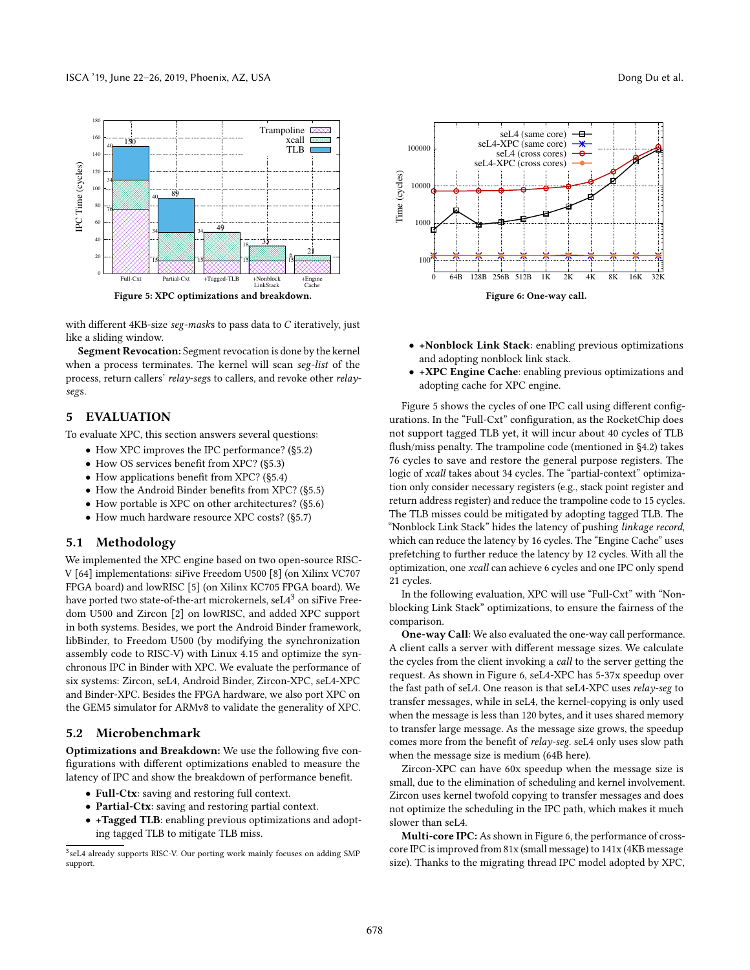<span id="page-7-3"></span>

with different 4KB-size seg-masks to pass data to C iteratively, just like a sliding window.

Segment Revocation: Segment revocation is done by the kernel when a process terminates. The kernel will scan seg-list of the process, return callers' relay-segs to callers, and revoke other relaysegs.

# <span id="page-7-0"></span>5 EVALUATION

To evaluate XPC, this section answers several questions:

- How XPC improves the IPC performance? ([§5.2\)](#page-7-1)
- How OS services benefit from XPC? ([§5.3\)](#page-8-0)
- How applications benefit from XPC? ([§5.4\)](#page-8-1)
- How the Android Binder benefits from XPC? ([§5.5\)](#page-8-2)
- How portable is XPC on other architectures? ([§5.6\)](#page-9-0)
- How much hardware resource XPC costs? ([§5.7\)](#page-10-1)

# 5.1 Methodology

We implemented the XPC engine based on two open-source RISC-V [\[64\]](#page-13-28) implementations: siFive Freedom U500 [\[8\]](#page-12-7) (on Xilinx VC707 FPGA board) and lowRISC [\[5\]](#page-12-9) (on Xilinx KC705 FPGA board). We have ported two state-of-the-art microkernels,  $seL4<sup>3</sup>$  $seL4<sup>3</sup>$  $seL4<sup>3</sup>$  on siFive Freedom U500 and Zircon [\[2\]](#page-12-6) on lowRISC, and added XPC support in both systems. Besides, we port the Android Binder framework, libBinder, to Freedom U500 (by modifying the synchronization assembly code to RISC-V) with Linux 4.15 and optimize the synchronous IPC in Binder with XPC. We evaluate the performance of six systems: Zircon, seL4, Android Binder, Zircon-XPC, seL4-XPC and Binder-XPC. Besides the FPGA hardware, we also port XPC on the GEM5 simulator for ARMv8 to validate the generality of XPC.

# <span id="page-7-1"></span>5.2 Microbenchmark

Optimizations and Breakdown: We use the following five configurations with different optimizations enabled to measure the latency of IPC and show the breakdown of performance benefit.

- Full-Ctx: saving and restoring full context.
- Partial-Ctx: saving and restoring partial context.
- +Tagged TLB: enabling previous optimizations and adopting tagged TLB to mitigate TLB miss.

<span id="page-7-2"></span>

<span id="page-7-4"></span>

- +Nonblock Link Stack: enabling previous optimizations and adopting nonblock link stack.
- +XPC Engine Cache: enabling previous optimizations and adopting cache for XPC engine.

Figure [5](#page-7-3) shows the cycles of one IPC call using different configurations. In the "Full-Cxt" configuration, as the RocketChip does not support tagged TLB yet, it will incur about 40 cycles of TLB flush/miss penalty. The trampoline code (mentioned in [§4.2\)](#page-5-1) takes 76 cycles to save and restore the general purpose registers. The logic of xcall takes about 34 cycles. The "partial-context" optimization only consider necessary registers (e.g., stack point register and return address register) and reduce the trampoline code to 15 cycles. The TLB misses could be mitigated by adopting tagged TLB. The "Nonblock Link Stack" hides the latency of pushing linkage record, which can reduce the latency by 16 cycles. The "Engine Cache" uses prefetching to further reduce the latency by 12 cycles. With all the optimization, one xcall can achieve 6 cycles and one IPC only spend 21 cycles.

In the following evaluation, XPC will use "Full-Cxt" with "Nonblocking Link Stack" optimizations, to ensure the fairness of the comparison.

One-way Call: We also evaluated the one-way call performance. A client calls a server with different message sizes. We calculate the cycles from the client invoking a call to the server getting the request. As shown in Figure [6,](#page-7-4) seL4-XPC has 5-37x speedup over the fast path of seL4. One reason is that seL4-XPC uses relay-seg to transfer messages, while in seL4, the kernel-copying is only used when the message is less than 120 bytes, and it uses shared memory to transfer large message. As the message size grows, the speedup comes more from the benefit of relay-seg. seL4 only uses slow path when the message size is medium (64B here).

Zircon-XPC can have 60x speedup when the message size is small, due to the elimination of scheduling and kernel involvement. Zircon uses kernel twofold copying to transfer messages and does not optimize the scheduling in the IPC path, which makes it much slower than seL4.

Multi-core IPC: As shown in Figure [6,](#page-7-4) the performance of crosscore IPC is improved from 81x (small message) to 141x (4KB message size). Thanks to the migrating thread IPC model adopted by XPC,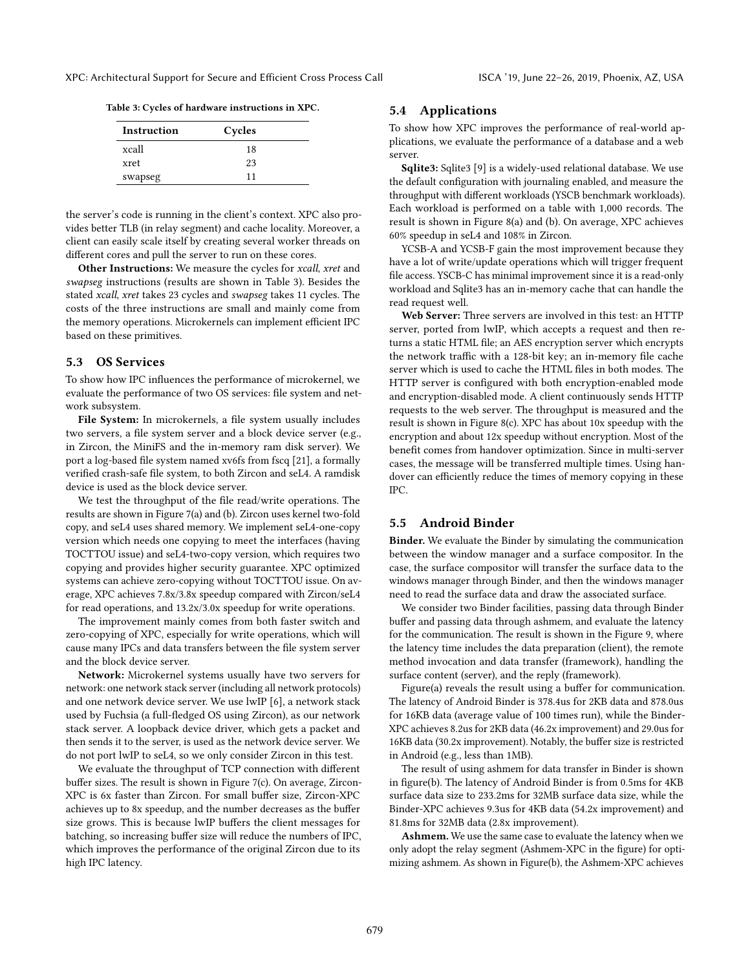<span id="page-8-3"></span>Table 3: Cycles of hardware instructions in XPC.

| Instruction | Cycles |  |
|-------------|--------|--|
| xcall       | 18     |  |
| xret        | 23     |  |
| swapseg     | 11     |  |

the server's code is running in the client's context. XPC also provides better TLB (in relay segment) and cache locality. Moreover, a client can easily scale itself by creating several worker threads on different cores and pull the server to run on these cores.

Other Instructions: We measure the cycles for xcall, xret and swapseg instructions (results are shown in Table [3\)](#page-8-3). Besides the stated xcall, xret takes 23 cycles and swapseg takes 11 cycles. The costs of the three instructions are small and mainly come from the memory operations. Microkernels can implement efficient IPC based on these primitives.

### <span id="page-8-0"></span>5.3 OS Services

To show how IPC influences the performance of microkernel, we evaluate the performance of two OS services: file system and network subsystem.

File System: In microkernels, a file system usually includes two servers, a file system server and a block device server (e.g., in Zircon, the MiniFS and the in-memory ram disk server). We port a log-based file system named xv6fs from fscq [\[21\]](#page-13-29), a formally verified crash-safe file system, to both Zircon and seL4. A ramdisk device is used as the block device server.

We test the throughput of the file read/write operations. The results are shown in Figure [7\(](#page-9-1)a) and (b). Zircon uses kernel two-fold copy, and seL4 uses shared memory. We implement seL4-one-copy version which needs one copying to meet the interfaces (having TOCTTOU issue) and seL4-two-copy version, which requires two copying and provides higher security guarantee. XPC optimized systems can achieve zero-copying without TOCTTOU issue. On average, XPC achieves 7.8x/3.8x speedup compared with Zircon/seL4 for read operations, and 13.2x/3.0x speedup for write operations.

The improvement mainly comes from both faster switch and zero-copying of XPC, especially for write operations, which will cause many IPCs and data transfers between the file system server and the block device server.

Network: Microkernel systems usually have two servers for network: one network stack server (including all network protocols) and one network device server. We use lwIP [\[6\]](#page-12-10), a network stack used by Fuchsia (a full-fledged OS using Zircon), as our network stack server. A loopback device driver, which gets a packet and then sends it to the server, is used as the network device server. We do not port lwIP to seL4, so we only consider Zircon in this test.

We evaluate the throughput of TCP connection with different buffer sizes. The result is shown in Figure [7\(](#page-9-1)c). On average, Zircon-XPC is 6x faster than Zircon. For small buffer size, Zircon-XPC achieves up to 8x speedup, and the number decreases as the buffer size grows. This is because lwIP buffers the client messages for batching, so increasing buffer size will reduce the numbers of IPC, which improves the performance of the original Zircon due to its high IPC latency.

#### <span id="page-8-1"></span>5.4 Applications

To show how XPC improves the performance of real-world applications, we evaluate the performance of a database and a web server.

Sqlite3: Sqlite3 [\[9\]](#page-12-11) is a widely-used relational database. We use the default configuration with journaling enabled, and measure the throughput with different workloads (YSCB benchmark workloads). Each workload is performed on a table with 1,000 records. The result is shown in Figure [8\(](#page-9-2)a) and (b). On average, XPC achieves 60% speedup in seL4 and 108% in Zircon.

YCSB-A and YCSB-F gain the most improvement because they have a lot of write/update operations which will trigger frequent file access. YSCB-C has minimal improvement since it is a read-only workload and Sqlite3 has an in-memory cache that can handle the read request well.

Web Server: Three servers are involved in this test: an HTTP server, ported from lwIP, which accepts a request and then returns a static HTML file; an AES encryption server which encrypts the network traffic with a 128-bit key; an in-memory file cache server which is used to cache the HTML files in both modes. The HTTP server is configured with both encryption-enabled mode and encryption-disabled mode. A client continuously sends HTTP requests to the web server. The throughput is measured and the result is shown in Figure [8\(](#page-9-2)c). XPC has about 10x speedup with the encryption and about 12x speedup without encryption. Most of the benefit comes from handover optimization. Since in multi-server cases, the message will be transferred multiple times. Using handover can efficiently reduce the times of memory copying in these IPC.

#### <span id="page-8-2"></span>5.5 Android Binder

Binder. We evaluate the Binder by simulating the communication between the window manager and a surface compositor. In the case, the surface compositor will transfer the surface data to the windows manager through Binder, and then the windows manager need to read the surface data and draw the associated surface.

We consider two Binder facilities, passing data through Binder buffer and passing data through ashmem, and evaluate the latency for the communication. The result is shown in the Figure [9,](#page-9-3) where the latency time includes the data preparation (client), the remote method invocation and data transfer (framework), handling the surface content (server), and the reply (framework).

Figure(a) reveals the result using a buffer for communication. The latency of Android Binder is 378.4us for 2KB data and 878.0us for 16KB data (average value of 100 times run), while the Binder-XPC achieves 8.2us for 2KB data (46.2x improvement) and 29.0us for 16KB data (30.2x improvement). Notably, the buffer size is restricted in Android (e.g., less than 1MB).

The result of using ashmem for data transfer in Binder is shown in figure(b). The latency of Android Binder is from 0.5ms for 4KB surface data size to 233.2ms for 32MB surface data size, while the Binder-XPC achieves 9.3us for 4KB data (54.2x improvement) and 81.8ms for 32MB data (2.8x improvement).

Ashmem. We use the same case to evaluate the latency when we only adopt the relay segment (Ashmem-XPC in the figure) for optimizing ashmem. As shown in Figure(b), the Ashmem-XPC achieves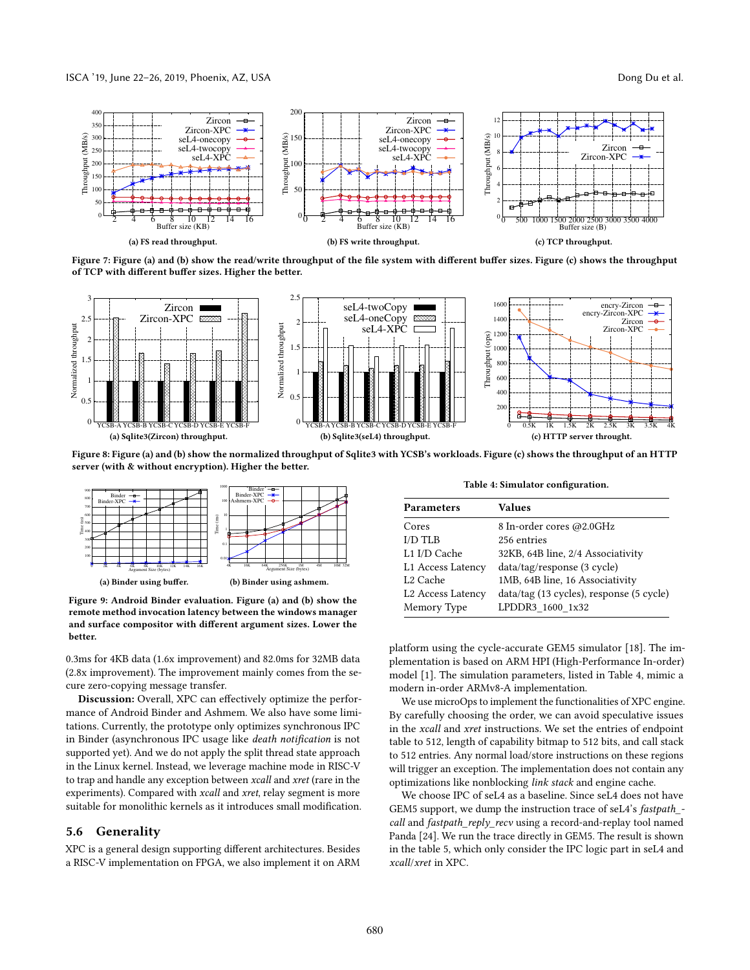#### ISCA '19, June 22-26, 2019, Phoenix, AZ, USA Dong Du et al.

<span id="page-9-1"></span>

Figure 7: Figure (a) and (b) show the read/write throughput of the file system with different buffer sizes. Figure (c) shows the throughput of TCP with different buffer sizes. Higher the better.

<span id="page-9-2"></span>

Figure 8: Figure (a) and (b) show the normalized throughput of Sqlite3 with YCSB's workloads. Figure (c) shows the throughput of an HTTP server (with & without encryption). Higher the better.

<span id="page-9-3"></span>

Figure 9: Android Binder evaluation. Figure (a) and (b) show the remote method invocation latency between the windows manager and surface compositor with different argument sizes. Lower the better.

0.3ms for 4KB data (1.6x improvement) and 82.0ms for 32MB data (2.8x improvement). The improvement mainly comes from the secure zero-copying message transfer.

Discussion: Overall, XPC can effectively optimize the performance of Android Binder and Ashmem. We also have some limitations. Currently, the prototype only optimizes synchronous IPC in Binder (asynchronous IPC usage like death notification is not supported yet). And we do not apply the split thread state approach in the Linux kernel. Instead, we leverage machine mode in RISC-V to trap and handle any exception between xcall and xret (rare in the experiments). Compared with xcall and xret, relay segment is more suitable for monolithic kernels as it introduces small modification.

### <span id="page-9-0"></span>5.6 Generality

XPC is a general design supporting different architectures. Besides a RISC-V implementation on FPGA, we also implement it on ARM

Table 4: Simulator configuration.

<span id="page-9-4"></span>

| <b>Parameters</b>             | <b>Values</b>                            |
|-------------------------------|------------------------------------------|
| Cores                         | 8 In-order cores @2.0GHz                 |
| I/D TLB                       | 256 entries                              |
| L1 I/D Cache                  | 32KB, 64B line, 2/4 Associativity        |
| L1 Access Latency             | data/tag/response (3 cycle)              |
| L <sub>2</sub> Cache          | 1MB, 64B line, 16 Associativity          |
| L <sub>2</sub> Access Latency | data/tag (13 cycles), response (5 cycle) |
| Memory Type                   | LPDDR3_1600_1x32                         |

platform using the cycle-accurate GEM5 simulator [\[18\]](#page-13-30). The implementation is based on ARM HPI (High-Performance In-order) model [\[1\]](#page-12-12). The simulation parameters, listed in Table [4,](#page-9-4) mimic a modern in-order ARMv8-A implementation.

We use microOps to implement the functionalities of XPC engine. By carefully choosing the order, we can avoid speculative issues in the xcall and xret instructions. We set the entries of endpoint table to 512, length of capability bitmap to 512 bits, and call stack to 512 entries. Any normal load/store instructions on these regions will trigger an exception. The implementation does not contain any optimizations like nonblocking link stack and engine cache.

We choose IPC of seL4 as a baseline. Since seL4 does not have GEM5 support, we dump the instruction trace of seL4's fastpath\_ call and fastpath\_reply\_recv using a record-and-replay tool named Panda [\[24\]](#page-13-31). We run the trace directly in GEM5. The result is shown in the table [5,](#page-10-2) which only consider the IPC logic part in seL4 and xcall/xret in XPC.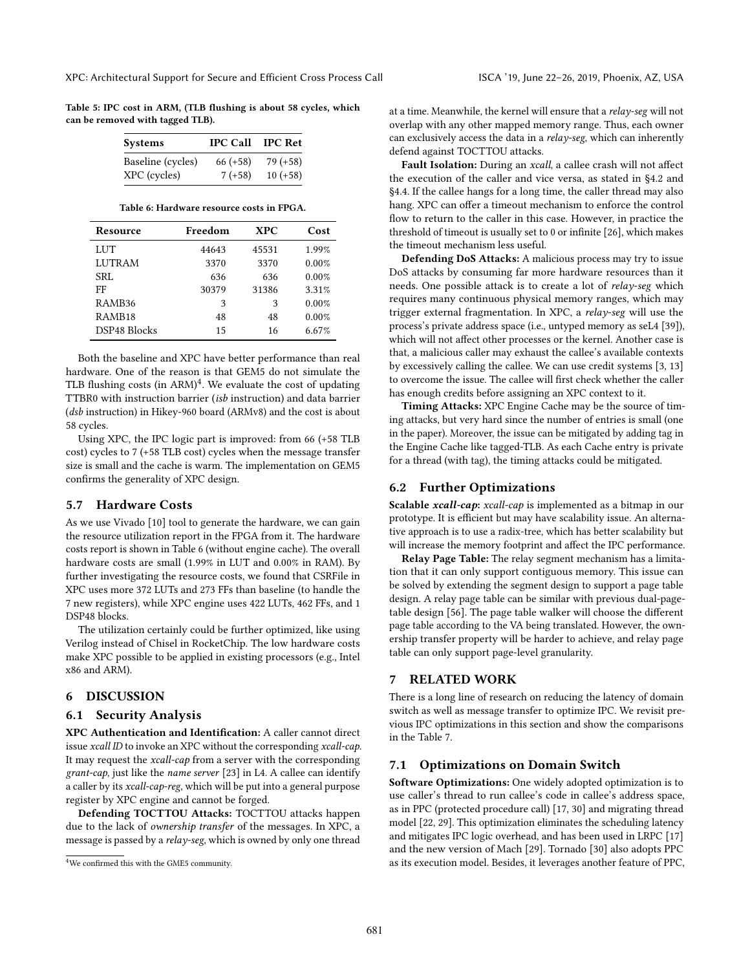<span id="page-10-2"></span>Table 5: IPC cost in ARM, (TLB flushing is about 58 cycles, which can be removed with tagged TLB).

| <b>Systems</b>    | <b>IPC Call</b> | <b>IPC Ret</b> |
|-------------------|-----------------|----------------|
| Baseline (cycles) | $66 (+58)$      | $79 (+58)$     |
| XPC (cycles)      | $7(+58)$        | $10 (+58)$     |

Table 6: Hardware resource costs in FPGA.

<span id="page-10-4"></span>

| Resource           | Freedom | <b>XPC</b> | Cost  |
|--------------------|---------|------------|-------|
| LUT                | 44643   | 45531      | 1.99% |
| <b>LUTRAM</b>      | 3370    | 3370       | 0.00% |
| SRL                | 636     | 636        | 0.00% |
| FF                 | 30379   | 31386      | 3.31% |
| RAMB <sub>36</sub> | 3       | 3          | 0.00% |
| RAMB <sub>18</sub> | 48      | 48         | 0.00% |
| DSP48 Blocks       | 15      | 16         | 6.67% |

Both the baseline and XPC have better performance than real hardware. One of the reason is that GEM5 do not simulate the TLB flushing costs (in ARM)<sup>[4](#page-10-3)</sup>. We evaluate the cost of updating TTBR0 with instruction barrier (isb instruction) and data barrier (dsb instruction) in Hikey-960 board (ARMv8) and the cost is about 58 cycles.

Using XPC, the IPC logic part is improved: from 66 (+58 TLB cost) cycles to 7 (+58 TLB cost) cycles when the message transfer size is small and the cache is warm. The implementation on GEM5 confirms the generality of XPC design.

# <span id="page-10-1"></span>5.7 Hardware Costs

As we use Vivado [\[10\]](#page-12-13) tool to generate the hardware, we can gain the resource utilization report in the FPGA from it. The hardware costs report is shown in Table [6](#page-10-4) (without engine cache). The overall hardware costs are small (1.99% in LUT and 0.00% in RAM). By further investigating the resource costs, we found that CSRFile in XPC uses more 372 LUTs and 273 FFs than baseline (to handle the 7 new registers), while XPC engine uses 422 LUTs, 462 FFs, and 1 DSP48 blocks.

The utilization certainly could be further optimized, like using Verilog instead of Chisel in RocketChip. The low hardware costs make XPC possible to be applied in existing processors (e.g., Intel x86 and ARM).

# 6 DISCUSSION

# 6.1 Security Analysis

XPC Authentication and Identification: A caller cannot direct issue xcall ID to invoke an XPC without the corresponding xcall-cap. It may request the xcall-cap from a server with the corresponding grant-cap, just like the name server [\[23\]](#page-13-1) in L4. A callee can identify a caller by its xcall-cap-reg, which will be put into a general purpose register by XPC engine and cannot be forged.

Defending TOCTTOU Attacks: TOCTTOU attacks happen due to the lack of ownership transfer of the messages. In XPC, a message is passed by a relay-seg, which is owned by only one thread at a time. Meanwhile, the kernel will ensure that a  $relay$ -seg will not overlap with any other mapped memory range. Thus, each owner can exclusively access the data in a relay-seg, which can inherently defend against TOCTTOU attacks.

Fault Isolation: During an xcall, a callee crash will not affect the execution of the caller and vice versa, as stated in [§4.2](#page-5-1) and [§4.4.](#page-6-0) If the callee hangs for a long time, the caller thread may also hang. XPC can offer a timeout mechanism to enforce the control flow to return to the caller in this case. However, in practice the threshold of timeout is usually set to 0 or infinite [\[26\]](#page-13-27), which makes the timeout mechanism less useful.

Defending DoS Attacks: A malicious process may try to issue DoS attacks by consuming far more hardware resources than it needs. One possible attack is to create a lot of relay-seg which requires many continuous physical memory ranges, which may trigger external fragmentation. In XPC, a relay-seg will use the process's private address space (i.e., untyped memory as seL4 [\[39\]](#page-13-4)), which will not affect other processes or the kernel. Another case is that, a malicious caller may exhaust the callee's available contexts by excessively calling the callee. We can use credit systems [\[3,](#page-12-8) [13\]](#page-12-5) to overcome the issue. The callee will first check whether the caller has enough credits before assigning an XPC context to it.

Timing Attacks: XPC Engine Cache may be the source of timing attacks, but very hard since the number of entries is small (one in the paper). Moreover, the issue can be mitigated by adding tag in the Engine Cache like tagged-TLB. As each Cache entry is private for a thread (with tag), the timing attacks could be mitigated.

#### <span id="page-10-0"></span>6.2 Further Optimizations

Scalable xcall-cap: xcall-cap is implemented as a bitmap in our prototype. It is efficient but may have scalability issue. An alternative approach is to use a radix-tree, which has better scalability but will increase the memory footprint and affect the IPC performance.

Relay Page Table: The relay segment mechanism has a limitation that it can only support contiguous memory. This issue can be solved by extending the segment design to support a page table design. A relay page table can be similar with previous dual-pagetable design [\[56\]](#page-13-32). The page table walker will choose the different page table according to the VA being translated. However, the ownership transfer property will be harder to achieve, and relay page table can only support page-level granularity.

# 7 RELATED WORK

There is a long line of research on reducing the latency of domain switch as well as message transfer to optimize IPC. We revisit previous IPC optimizations in this section and show the comparisons in the Table [7.](#page-11-0)

#### 7.1 Optimizations on Domain Switch

Software Optimizations: One widely adopted optimization is to use caller's thread to run callee's code in callee's address space, as in PPC (protected procedure call) [\[17,](#page-12-4) [30\]](#page-13-16) and migrating thread model [\[22,](#page-13-8) [29\]](#page-13-15). This optimization eliminates the scheduling latency and mitigates IPC logic overhead, and has been used in LRPC [\[17\]](#page-12-4) and the new version of Mach [\[29\]](#page-13-15). Tornado [\[30\]](#page-13-16) also adopts PPC as its execution model. Besides, it leverages another feature of PPC,

<span id="page-10-3"></span><sup>4</sup>We confirmed this with the GME5 community.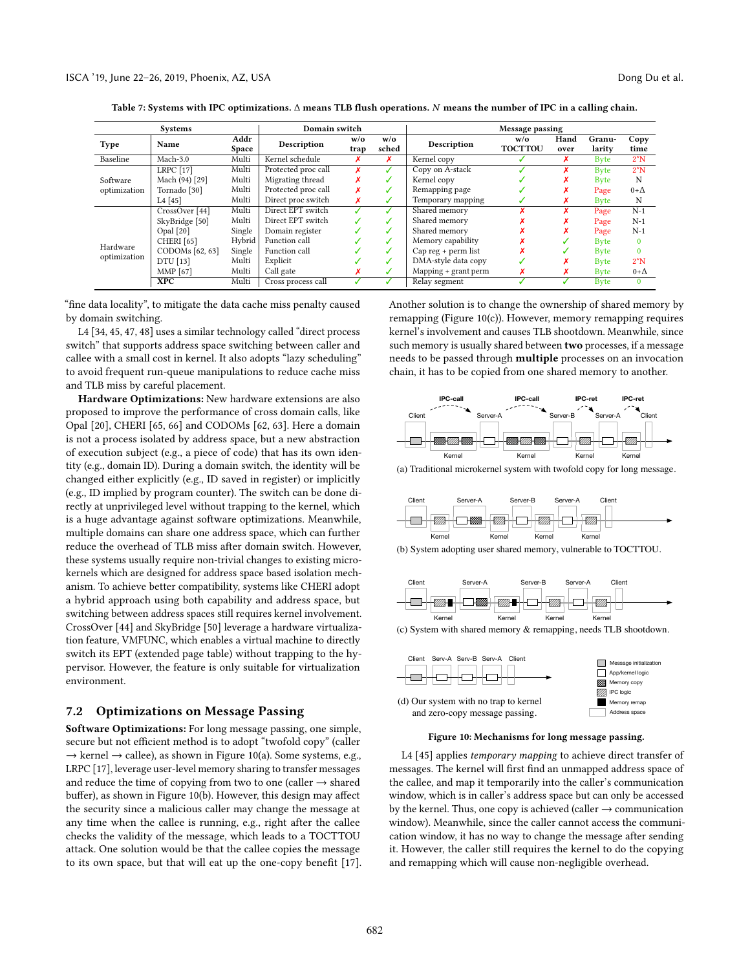<span id="page-11-0"></span>

| <b>Systems</b>           |                         | Domain switch |                     | Message passing            |              |                      |                       |              |                  |              |
|--------------------------|-------------------------|---------------|---------------------|----------------------------|--------------|----------------------|-----------------------|--------------|------------------|--------------|
| Type                     | Name                    | Addr<br>Space | Description         | $w$ / $\mathbf{o}$<br>trap | w/o<br>sched | Description          | w/o<br><b>TOCTTOU</b> | Hand<br>over | Granu-<br>larity | Copy<br>time |
| Baseline                 | Mach-3.0                | Multi         | Kernel schedule     |                            |              | Kernel copy          |                       |              | <b>Byte</b>      | $2^{\ast}N$  |
|                          | <b>LRPC</b> [17]        | Multi         | Protected proc call |                            |              | Copy on A-stack      |                       |              | Byte             | $2^{\ast}N$  |
| Software                 | Mach (94) [29]          | Multi         | Migrating thread    |                            | ✓            | Kernel copy          |                       | ́            | <b>Byte</b>      | N            |
| optimization             | Tornado <sup>[30]</sup> | Multi         | Protected proc call |                            | J            | Remapping page       |                       |              | Page             | $0+\Delta$   |
|                          | $L4$ [45]               | Multi         | Direct proc switch  |                            | ✓            | Temporary mapping    |                       |              | <b>Byte</b>      | N            |
|                          | CrossOver [44]          | Multi         | Direct EPT switch   |                            |              | Shared memory        |                       |              | Page             | $N-1$        |
|                          | SkyBridge [50]          | Multi         | Direct EPT switch   |                            | ℐ            | Shared memory        |                       |              | Page             | $N-1$        |
| Hardware<br>optimization | Opal [20]               | Single        | Domain register     |                            | ✓            | Shared memory        |                       |              | Page             | $N-1$        |
|                          | CHERI [65]              | Hybrid        | Function call       |                            | ✓            | Memory capability    |                       |              | <b>Byte</b>      | $\Omega$     |
|                          | CODOMs [62, 63]         | Single        | Function call       |                            | ✓            | Cap reg + perm list  |                       |              | Byte             | $\Omega$     |
|                          | DTU [13]                | Multi         | Explicit            |                            | ℐ            | DMA-style data copy  |                       |              | <b>Byte</b>      | $2^{\ast}N$  |
|                          | MMP [67]                | Multi         | Call gate           |                            | ✓            | Mapping + grant perm | ×                     |              | <b>Byte</b>      | $0+\Delta$   |
|                          | XPC                     | Multi         | Cross process call  |                            |              | Relay segment        |                       |              | <b>Byte</b>      | $\mathbf{0}$ |

Table 7: Systems with IPC optimizations. ∆ means TLB flush operations. N means the number of IPC in a calling chain.

"fine data locality", to mitigate the data cache miss penalty caused by domain switching.

L4 [\[34,](#page-13-34) [45,](#page-13-6) [47,](#page-13-35) [48\]](#page-13-36) uses a similar technology called "direct process switch" that supports address space switching between caller and callee with a small cost in kernel. It also adopts "lazy scheduling" to avoid frequent run-queue manipulations to reduce cache miss and TLB miss by careful placement.

Hardware Optimizations: New hardware extensions are also proposed to improve the performance of cross domain calls, like Opal [\[20\]](#page-13-33), CHERI [\[65,](#page-13-26) [66\]](#page-13-22) and CODOMs [\[62,](#page-13-24) [63\]](#page-13-21). Here a domain is not a process isolated by address space, but a new abstraction of execution subject (e.g., a piece of code) that has its own identity (e.g., domain ID). During a domain switch, the identity will be changed either explicitly (e.g., ID saved in register) or implicitly (e.g., ID implied by program counter). The switch can be done directly at unprivileged level without trapping to the kernel, which is a huge advantage against software optimizations. Meanwhile, multiple domains can share one address space, which can further reduce the overhead of TLB miss after domain switch. However, these systems usually require non-trivial changes to existing microkernels which are designed for address space based isolation mechanism. To achieve better compatibility, systems like CHERI adopt a hybrid approach using both capability and address space, but switching between address spaces still requires kernel involvement. CrossOver [\[44\]](#page-13-18) and SkyBridge [\[50\]](#page-13-19) leverage a hardware virtualization feature, VMFUNC, which enables a virtual machine to directly switch its EPT (extended page table) without trapping to the hypervisor. However, the feature is only suitable for virtualization environment.

#### 7.2 Optimizations on Message Passing

Software Optimizations: For long message passing, one simple, secure but not efficient method is to adopt "twofold copy" (caller  $\rightarrow$  kernel  $\rightarrow$  callee), as shown in Figure [10\(](#page-11-1)a). Some systems, e.g., LRPC [\[17\]](#page-12-4), leverage user-level memory sharing to transfer messages and reduce the time of copying from two to one (caller  $\rightarrow$  shared buffer), as shown in Figure [10\(](#page-11-1)b). However, this design may affect the security since a malicious caller may change the message at any time when the callee is running, e.g., right after the callee checks the validity of the message, which leads to a TOCTTOU attack. One solution would be that the callee copies the message to its own space, but that will eat up the one-copy benefit [\[17\]](#page-12-4). Another solution is to change the ownership of shared memory by remapping (Figure [10\(](#page-11-1)c)). However, memory remapping requires kernel's involvement and causes TLB shootdown. Meanwhile, since such memory is usually shared between two processes, if a message needs to be passed through multiple processes on an invocation chain, it has to be copied from one shared memory to another.

<span id="page-11-1"></span>

(a) Traditional microkernel system with twofold copy for long message.



(b) System adopting user shared memory, vulnerable to TOCTTOU.



(c) System with shared memory & remapping, needs TLB shootdown.



Figure 10: Mechanisms for long message passing.

L4 [\[45\]](#page-13-6) applies temporary mapping to achieve direct transfer of messages. The kernel will first find an unmapped address space of the callee, and map it temporarily into the caller's communication window, which is in caller's address space but can only be accessed by the kernel. Thus, one copy is achieved (caller  $\rightarrow$  communication window). Meanwhile, since the caller cannot access the communication window, it has no way to change the message after sending it. However, the caller still requires the kernel to do the copying and remapping which will cause non-negligible overhead.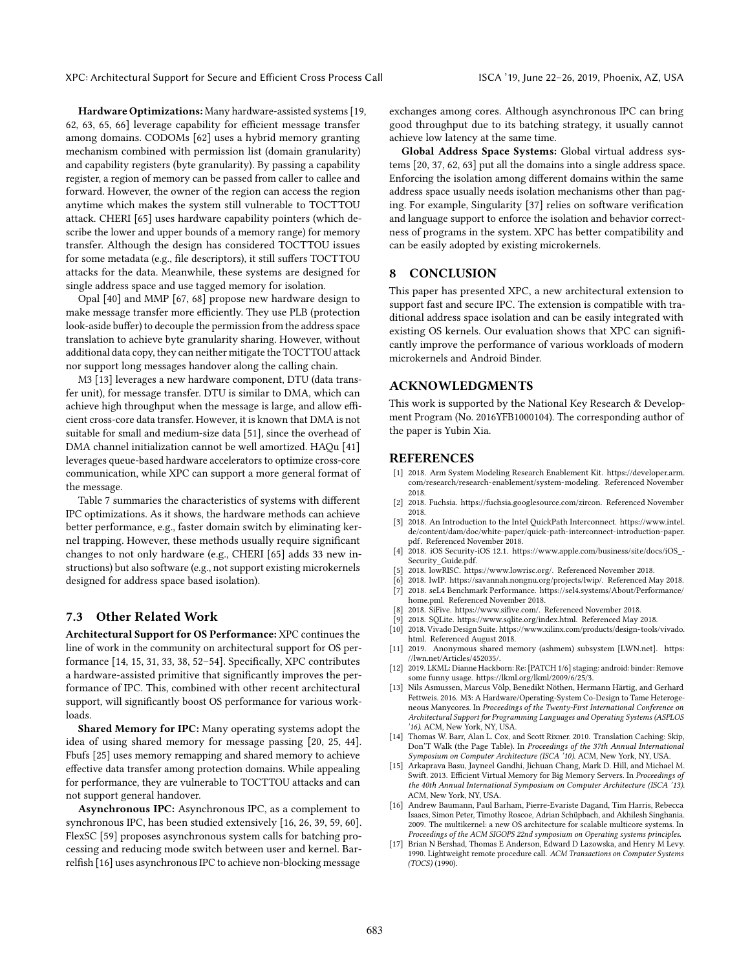Hardware Optimizations: Many hardware-assisted systems [\[19,](#page-13-37) [62,](#page-13-24) [63,](#page-13-21) [65,](#page-13-26) [66\]](#page-13-22) leverage capability for efficient message transfer among domains. CODOMs [\[62\]](#page-13-24) uses a hybrid memory granting mechanism combined with permission list (domain granularity) and capability registers (byte granularity). By passing a capability register, a region of memory can be passed from caller to callee and forward. However, the owner of the region can access the region anytime which makes the system still vulnerable to TOCTTOU attack. CHERI [\[65\]](#page-13-26) uses hardware capability pointers (which describe the lower and upper bounds of a memory range) for memory transfer. Although the design has considered TOCTTOU issues for some metadata (e.g., file descriptors), it still suffers TOCTTOU attacks for the data. Meanwhile, these systems are designed for single address space and use tagged memory for isolation.

Opal [\[40\]](#page-13-38) and MMP [\[67,](#page-13-23) [68\]](#page-13-39) propose new hardware design to make message transfer more efficiently. They use PLB (protection look-aside buffer) to decouple the permission from the address space translation to achieve byte granularity sharing. However, without additional data copy, they can neither mitigate the TOCTTOU attack nor support long messages handover along the calling chain.

M3 [\[13\]](#page-12-5) leverages a new hardware component, DTU (data transfer unit), for message transfer. DTU is similar to DMA, which can achieve high throughput when the message is large, and allow efficient cross-core data transfer. However, it is known that DMA is not suitable for small and medium-size data [\[51\]](#page-13-40), since the overhead of DMA channel initialization cannot be well amortized. HAQu [\[41\]](#page-13-41) leverages queue-based hardware accelerators to optimize cross-core communication, while XPC can support a more general format of the message.

Table [7](#page-11-0) summaries the characteristics of systems with different IPC optimizations. As it shows, the hardware methods can achieve better performance, e.g., faster domain switch by eliminating kernel trapping. However, these methods usually require significant changes to not only hardware (e.g., CHERI [\[65\]](#page-13-26) adds 33 new instructions) but also software (e.g., not support existing microkernels designed for address space based isolation).

#### 7.3 Other Related Work

Architectural Support for OS Performance: XPC continues the line of work in the community on architectural support for OS performance [\[14,](#page-12-14) [15,](#page-12-15) [31,](#page-13-42) [33,](#page-13-43) [38,](#page-13-44) [52–](#page-13-45)[54\]](#page-13-46). Specifically, XPC contributes a hardware-assisted primitive that significantly improves the performance of IPC. This, combined with other recent architectural support, will significantly boost OS performance for various workloads.

Shared Memory for IPC: Many operating systems adopt the idea of using shared memory for message passing [\[20,](#page-13-33) [25,](#page-13-47) [44\]](#page-13-18). Fbufs [\[25\]](#page-13-47) uses memory remapping and shared memory to achieve effective data transfer among protection domains. While appealing for performance, they are vulnerable to TOCTTOU attacks and can not support general handover.

Asynchronous IPC: Asynchronous IPC, as a complement to synchronous IPC, has been studied extensively [\[16,](#page-12-16) [26,](#page-13-27) [39,](#page-13-4) [59,](#page-13-48) [60\]](#page-13-49). FlexSC [\[59\]](#page-13-48) proposes asynchronous system calls for batching processing and reducing mode switch between user and kernel. Barrelfish [\[16\]](#page-12-16) uses asynchronous IPC to achieve non-blocking message

exchanges among cores. Although asynchronous IPC can bring good throughput due to its batching strategy, it usually cannot achieve low latency at the same time.

Global Address Space Systems: Global virtual address systems [\[20,](#page-13-33) [37,](#page-13-50) [62,](#page-13-24) [63\]](#page-13-21) put all the domains into a single address space. Enforcing the isolation among different domains within the same address space usually needs isolation mechanisms other than paging. For example, Singularity [\[37\]](#page-13-50) relies on software verification and language support to enforce the isolation and behavior correctness of programs in the system. XPC has better compatibility and can be easily adopted by existing microkernels.

# 8 CONCLUSION

This paper has presented XPC, a new architectural extension to support fast and secure IPC. The extension is compatible with traditional address space isolation and can be easily integrated with existing OS kernels. Our evaluation shows that XPC can significantly improve the performance of various workloads of modern microkernels and Android Binder.

# ACKNOWLEDGMENTS

This work is supported by the National Key Research & Development Program (No. 2016YFB1000104). The corresponding author of the paper is Yubin Xia.

#### REFERENCES

- <span id="page-12-12"></span>[1] 2018. Arm System Modeling Research Enablement Kit. [https://developer.arm.](https://developer.arm.com/research/research-enablement/system-modeling) [com/research/research-enablement/system-modeling.](https://developer.arm.com/research/research-enablement/system-modeling) Referenced November 2018.
- <span id="page-12-6"></span>[2] 2018. Fuchsia. [https://fuchsia.googlesource.com/zircon.](https://fuchsia.googlesource.com/zircon) Referenced November 2018.
- <span id="page-12-8"></span>[3] 2018. An Introduction to the Intel QuickPath Interconnect. [https://www.intel.](https://www.intel.de/content/dam/doc/white-paper/quick-path-interconnect-introduction-paper.pdf) [de/content/dam/doc/white-paper/quick-path-interconnect-introduction-paper.](https://www.intel.de/content/dam/doc/white-paper/quick-path-interconnect-introduction-paper.pdf) [pdf.](https://www.intel.de/content/dam/doc/white-paper/quick-path-interconnect-introduction-paper.pdf) Referenced November 2018.
- <span id="page-12-0"></span>[4] 2018. iOS Security-iOS 12.1. https://www.apple.com/business/site/docs/iOS\_- Security\_Guide.pdf.
- <span id="page-12-9"></span>[5] 2018. lowRISC. [https://www.lowrisc.org/.](https://www.lowrisc.org/) Referenced November 2018.
- <span id="page-12-10"></span><span id="page-12-1"></span>2018. lwIP. [https://savannah.nongnu.org/projects/lwip/.](https://savannah.nongnu.org/projects/lwip/) Referenced May 2018. [7] 2018. seL4 Benchmark Performance. [https://sel4.systems/About/Performance/](https://sel4.systems/About/Performance/home.pml) [home.pml.](https://sel4.systems/About/Performance/home.pml) Referenced November 2018.
- <span id="page-12-7"></span>2018. SiFive. [https://www.sifive.com/.](https://www.sifive.com/) Referenced November 2018.
- <span id="page-12-11"></span>2018. SQLite. [https://www.sqlite.org/index.html.](https://www.sqlite.org/index.html) Referenced May 2018.
- <span id="page-12-13"></span>[10] 2018. Vivado Design Suite. [https://www.xilinx.com/products/design-tools/vivado.](https://www.xilinx.com/products/design-tools/vivado.html) [html.](https://www.xilinx.com/products/design-tools/vivado.html) Referenced August 2018.
- <span id="page-12-3"></span>[11] 2019. Anonymous shared memory (ashmem) subsystem [LWN.net]. [https:](https://lwn.net/Articles/452035/) [//lwn.net/Articles/452035/.](https://lwn.net/Articles/452035/)
- <span id="page-12-2"></span>[12] 2019. LKML: Dianne Hackborn: Re: [PATCH 1/6] staging: android: binder: Remove some funny usage. [https://lkml.org/lkml/2009/6/25/3.](https://lkml.org/lkml/2009/6/25/3)
- <span id="page-12-5"></span>[13] Nils Asmussen, Marcus Völp, Benedikt Nöthen, Hermann Härtig, and Gerhard Fettweis. 2016. M3: A Hardware/Operating-System Co-Design to Tame Heterogeneous Manycores. In Proceedings of the Twenty-First International Conference on Architectural Support for Programming Languages and Operating Systems (ASPLOS '16). ACM, New York, NY, USA.
- <span id="page-12-14"></span>[14] Thomas W. Barr, Alan L. Cox, and Scott Rixner. 2010. Translation Caching: Skip, Don'T Walk (the Page Table). In Proceedings of the 37th Annual International Symposium on Computer Architecture (ISCA '10). ACM, New York, NY, USA.
- <span id="page-12-15"></span>[15] Arkaprava Basu, Jayneel Gandhi, Jichuan Chang, Mark D. Hill, and Michael M. Swift. 2013. Efficient Virtual Memory for Big Memory Servers. In Proceedings of the 40th Annual International Symposium on Computer Architecture (ISCA '13). ACM, New York, NY, USA.
- <span id="page-12-16"></span>[16] Andrew Baumann, Paul Barham, Pierre-Evariste Dagand, Tim Harris, Rebecca Isaacs, Simon Peter, Timothy Roscoe, Adrian Schüpbach, and Akhilesh Singhania. 2009. The multikernel: a new OS architecture for scalable multicore systems. In Proceedings of the ACM SIGOPS 22nd symposium on Operating systems principles.
- <span id="page-12-4"></span>[17] Brian N Bershad, Thomas E Anderson, Edward D Lazowska, and Henry M Levy. 1990. Lightweight remote procedure call. ACM Transactions on Computer Systems (TOCS) (1990).